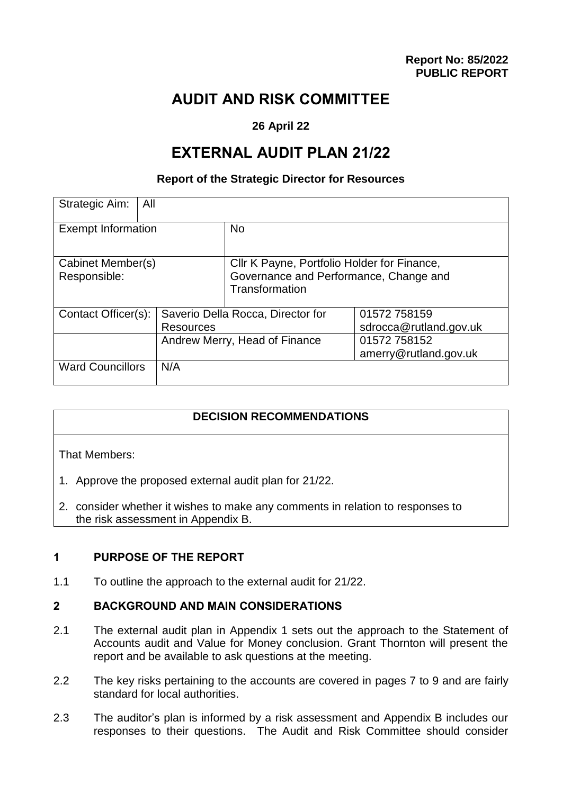# **AUDIT AND RISK COMMITTEE**

## **26 April 22**

# **EXTERNAL AUDIT PLAN 21/22**

#### **Report of the Strategic Director for Resources**

| Strategic Aim:<br>All             |                                   |                                                                                                         |                                       |
|-----------------------------------|-----------------------------------|---------------------------------------------------------------------------------------------------------|---------------------------------------|
| <b>Exempt Information</b>         |                                   | N <sub>o</sub>                                                                                          |                                       |
| Cabinet Member(s)<br>Responsible: |                                   | Cllr K Payne, Portfolio Holder for Finance,<br>Governance and Performance, Change and<br>Transformation |                                       |
| Contact Officer(s):               | Saverio Della Rocca, Director for |                                                                                                         | 01572 758159                          |
|                                   | <b>Resources</b>                  |                                                                                                         | sdrocca@rutland.gov.uk                |
|                                   | Andrew Merry, Head of Finance     |                                                                                                         | 01572 758152<br>amerry@rutland.gov.uk |
| <b>Ward Councillors</b>           | N/A                               |                                                                                                         |                                       |

## **DECISION RECOMMENDATIONS**

That Members:

- 1. Approve the proposed external audit plan for 21/22.
- 2. consider whether it wishes to make any comments in relation to responses to the risk assessment in Appendix B.

## **1 PURPOSE OF THE REPORT**

1.1 To outline the approach to the external audit for 21/22.

#### **2 BACKGROUND AND MAIN CONSIDERATIONS**

- 2.1 The external audit plan in Appendix 1 sets out the approach to the Statement of Accounts audit and Value for Money conclusion. Grant Thornton will present the report and be available to ask questions at the meeting.
- 2.2 The key risks pertaining to the accounts are covered in pages 7 to 9 and are fairly standard for local authorities.
- 2.3 The auditor's plan is informed by a risk assessment and Appendix B includes our responses to their questions. The Audit and Risk Committee should consider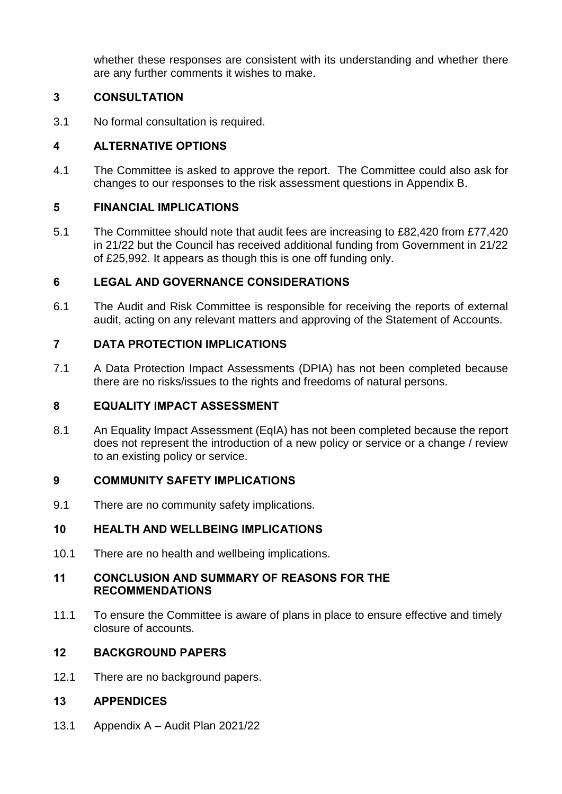whether these responses are consistent with its understanding and whether there are any further comments it wishes to make.

## **3 CONSULTATION**

3.1 No formal consultation is required.

## **4 ALTERNATIVE OPTIONS**

4.1 The Committee is asked to approve the report. The Committee could also ask for changes to our responses to the risk assessment questions in Appendix B.

## **5 FINANCIAL IMPLICATIONS**

5.1 The Committee should note that audit fees are increasing to £82,420 from £77,420 in 21/22 but the Council has received additional funding from Government in 21/22 of £25,992. It appears as though this is one off funding only.

## **6 LEGAL AND GOVERNANCE CONSIDERATIONS**

6.1 The Audit and Risk Committee is responsible for receiving the reports of external audit, acting on any relevant matters and approving of the Statement of Accounts.

## **7 DATA PROTECTION IMPLICATIONS**

7.1 A Data Protection Impact Assessments (DPIA) has not been completed because there are no risks/issues to the rights and freedoms of natural persons.

## **8 EQUALITY IMPACT ASSESSMENT**

8.1 An Equality Impact Assessment (EqIA) has not been completed because the report does not represent the introduction of a new policy or service or a change / review to an existing policy or service.

## **9 COMMUNITY SAFETY IMPLICATIONS**

9.1 There are no community safety implications.

## **10 HEALTH AND WELLBEING IMPLICATIONS**

10.1 There are no health and wellbeing implications.

#### **11 CONCLUSION AND SUMMARY OF REASONS FOR THE RECOMMENDATIONS**

11.1 To ensure the Committee is aware of plans in place to ensure effective and timely closure of accounts.

## **12 BACKGROUND PAPERS**

12.1 There are no background papers.

## **13 APPENDICES**

13.1 Appendix A – Audit Plan 2021/22